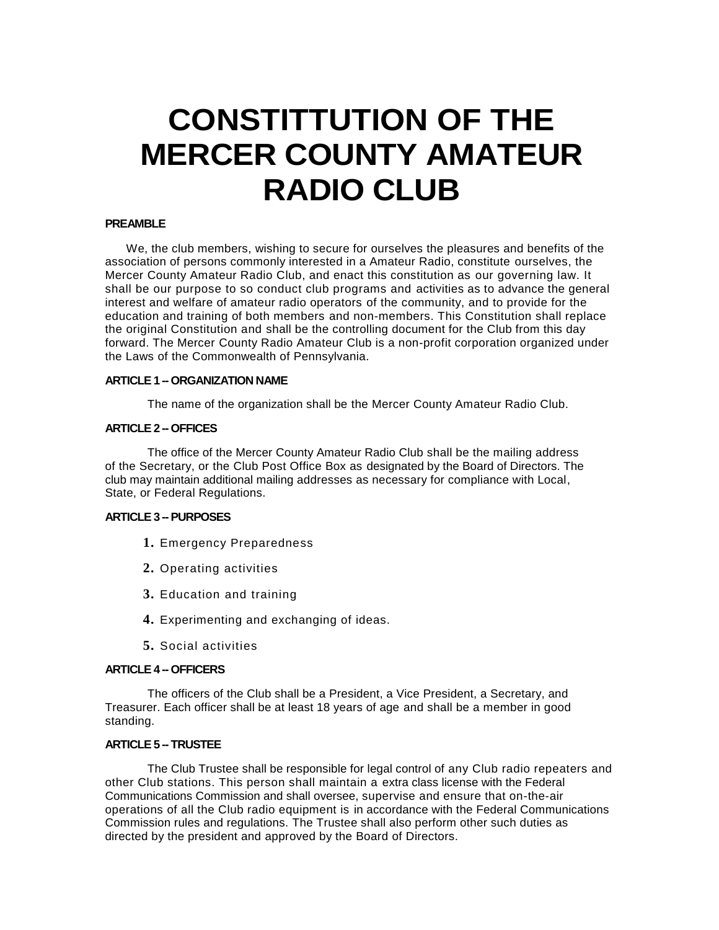# **CONSTITTUTION OF THE MERCER COUNTY AMATEUR RADIO CLUB**

## **PREAMBLE**

We, the club members, wishing to secure for ourselves the pleasures and benefits of the association of persons commonly interested in a Amateur Radio, constitute ourselves, the Mercer County Amateur Radio Club, and enact this constitution as our governing law. It shall be our purpose to so conduct club programs and activities as to advance the general interest and welfare of amateur radio operators of the community, and to provide for the education and training of both members and non-members. This Constitution shall replace the original Constitution and shall be the controlling document for the Club from this day forward. The Mercer County Radio Amateur Club is a non-profit corporation organized under the Laws of the Commonwealth of Pennsylvania.

## **ARTICLE 1 - ORGANIZATION NAME**

The name of the organization shall be the Mercer County Amateur Radio Club.

# **ARTICLE 2 -- OFFICES**

The office of the Mercer County Amateur Radio Club shall be the mailing address of the Secretary, or the Club Post Office Box as designated by the Board of Directors. The club may maintain additional mailing addresses as necessary for compliance with Local, State, or Federal Regulations.

# **ARTICLE 3 --PURPOSES**

- **1.** Emergency Preparedness
- **2.** Operating activities
- **3.** Education and training
- **4.** Experimenting and exchanging of ideas.
- **5.** Social activities

#### **ARTICLE 4 -- OFFICERS**

The officers of the Club shall be a President, a Vice President, a Secretary, and Treasurer. Each officer shall be at least 18 years of age and shall be a member in good standing.

#### **ARTICLE 5 -- TRUSTEE**

The Club Trustee shall be responsible for legal control of any Club radio repeaters and other Club stations. This person shall maintain a extra class license with the Federal Communications Commission and shall oversee, supervise and ensure that on-the-air operations of all the Club radio equipment is in accordance with the Federal Communications Commission rules and regulations. The Trustee shall also perform other such duties as directed by the president and approved by the Board of Directors.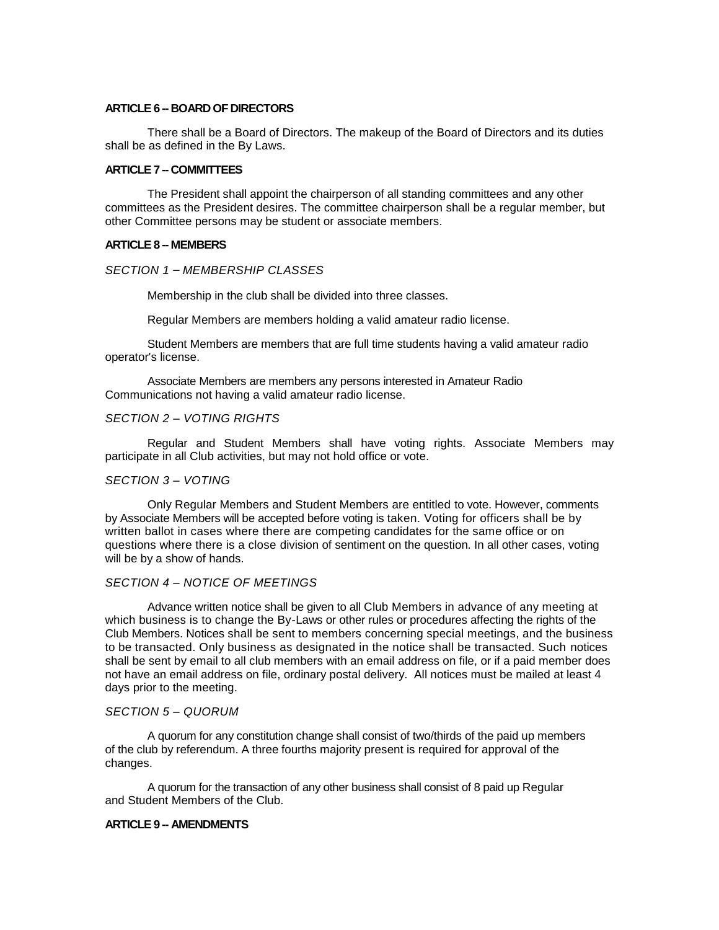#### **ARTICLE 6 -- BOARD OF DIRECTORS**

There shall be a Board of Directors. The makeup of the Board of Directors and its duties shall be as defined in the By Laws.

## **ARTICLE 7 -- COMMITTEES**

The President shall appoint the chairperson of all standing committees and any other committees as the President desires. The committee chairperson shall be a regular member, but other Committee persons may be student or associate members.

#### **ARTICLE 8 -- MEMBERS**

## *SECTION 1* – *MEMBERSHIP CLASSES*

Membership in the club shall be divided into three classes.

Regular Members are members holding a valid amateur radio license.

Student Members are members that are full time students having a valid amateur radio operator's license.

Associate Members are members any persons interested in Amateur Radio Communications not having a valid amateur radio license.

#### *SECTION 2 – VOTING RIGHTS*

Regular and Student Members shall have voting rights. Associate Members may participate in all Club activities, but may not hold office or vote.

## *SECTION 3 – VOTING*

Only Regular Members and Student Members are entitled to vote. However, comments by Associate Members will be accepted before voting is taken. Voting for officers shall be by written ballot in cases where there are competing candidates for the same office or on questions where there is a close division of sentiment on the question. In all other cases, voting will be by a show of hands.

#### *SECTION 4 – NOTICE OF MEETINGS*

Advance written notice shall be given to all Club Members in advance of any meeting at which business is to change the By-Laws or other rules or procedures affecting the rights of the Club Members. Notices shall be sent to members concerning special meetings, and the business to be transacted. Only business as designated in the notice shall be transacted. Such notices shall be sent by email to all club members with an email address on file, or if a paid member does not have an email address on file, ordinary postal delivery. All notices must be mailed at least 4 days prior to the meeting.

## *SECTION 5 – QUORUM*

A quorum for any constitution change shall consist of two/thirds of the paid up members of the club by referendum. A three fourths majority present is required for approval of the changes.

A quorum for the transaction of any other business shall consist of 8 paid up Regular and Student Members of the Club.

#### **ARTICLE 9 -- AMENDMENTS**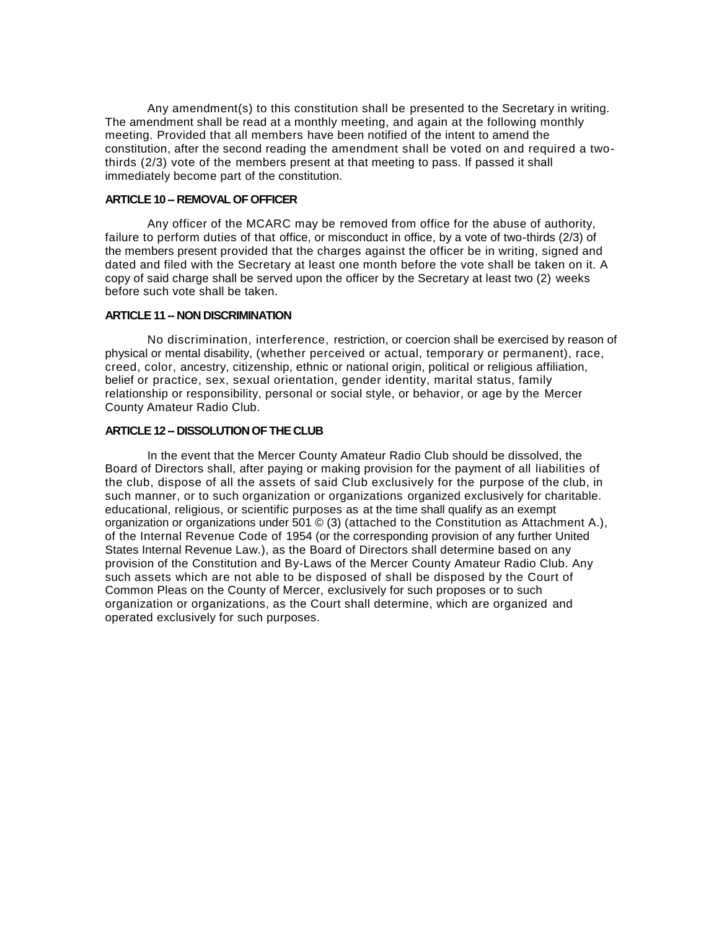Any amendment(s) to this constitution shall be presented to the Secretary in writing. The amendment shall be read at a monthly meeting, and again at the following monthly meeting. Provided that all members have been notified of the intent to amend the constitution, after the second reading the amendment shall be voted on and required a twothirds (2/3) vote of the members present at that meeting to pass. If passed it shall immediately become part of the constitution.

# **ARTICLE 10 -- REMOVAL OF OFFICER**

Any officer of the MCARC may be removed from office for the abuse of authority, failure to perform duties of that office, or misconduct in office, by a vote of two-thirds (2/3) of the members present provided that the charges against the officer be in writing, signed and dated and filed with the Secretary at least one month before the vote shall be taken on it. A copy of said charge shall be served upon the officer by the Secretary at least two (2) weeks before such vote shall be taken.

## **ARTICLE 11 -- NON DISCRIMINATION**

No discrimination, interference, restriction, or coercion shall be exercised by reason of physical or mental disability, (whether perceived or actual, temporary or permanent), race, creed, color, ancestry, citizenship, ethnic or national origin, political or religious affiliation, belief or practice, sex, sexual orientation, gender identity, marital status, family relationship or responsibility, personal or social style, or behavior, or age by the Mercer County Amateur Radio Club.

# **ARTICLE 12 -- DISSOLUTION OF THE CLUB**

In the event that the Mercer County Amateur Radio Club should be dissolved, the Board of Directors shall, after paying or making provision for the payment of all liabilities of the club, dispose of all the assets of said Club exclusively for the purpose of the club, in such manner, or to such organization or organizations organized exclusively for charitable. educational, religious, or scientific purposes as at the time shall qualify as an exempt organization or organizations under 501 © (3) (attached to the Constitution as Attachment A.), of the Internal Revenue Code of 1954 (or the corresponding provision of any further United States Internal Revenue Law.), as the Board of Directors shall determine based on any provision of the Constitution and By-Laws of the Mercer County Amateur Radio Club. Any such assets which are not able to be disposed of shall be disposed by the Court of Common Pleas on the County of Mercer, exclusively for such proposes or to such organization or organizations, as the Court shall determine, which are organized and operated exclusively for such purposes.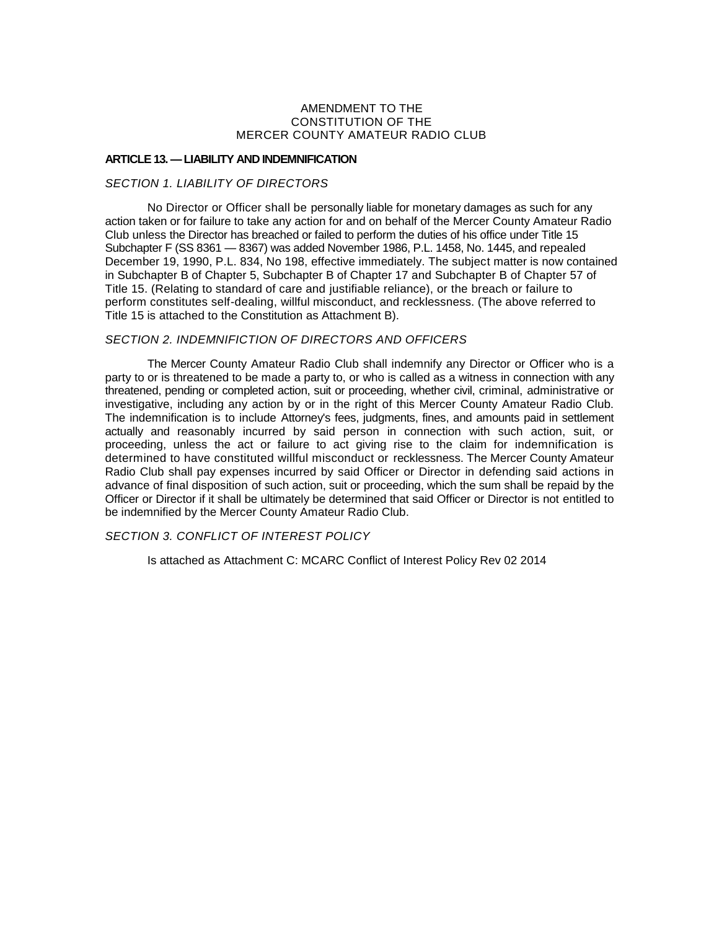## AMENDMENT TO THE CONSTITUTION OF THE MERCER COUNTY AMATEUR RADIO CLUB

## **ARTICLE 13. —LIABILITY AND INDEMNIFICATION**

## *SECTION 1. LIABILITY OF DIRECTORS*

No Director or Officer shall be personally liable for monetary damages as such for any action taken or for failure to take any action for and on behalf of the Mercer County Amateur Radio Club unless the Director has breached or failed to perform the duties of his office under Title 15 Subchapter F (SS 8361 — 8367) was added November 1986, P.L. 1458, No. 1445, and repealed December 19, 1990, P.L. 834, No 198, effective immediately. The subject matter is now contained in Subchapter B of Chapter 5, Subchapter B of Chapter 17 and Subchapter B of Chapter 57 of Title 15. (Relating to standard of care and justifiable reliance), or the breach or failure to perform constitutes self-dealing, willful misconduct, and recklessness. (The above referred to Title 15 is attached to the Constitution as Attachment B).

## *SECTION 2. INDEMNIFICTION OF DIRECTORS AND OFFICERS*

The Mercer County Amateur Radio Club shall indemnify any Director or Officer who is a party to or is threatened to be made a party to, or who is called as a witness in connection with any threatened, pending or completed action, suit or proceeding, whether civil, criminal, administrative or investigative, including any action by or in the right of this Mercer County Amateur Radio Club. The indemnification is to include Attorney's fees, judgments, fines, and amounts paid in settlement actually and reasonably incurred by said person in connection with such action, suit, or proceeding, unless the act or failure to act giving rise to the claim for indemnification is determined to have constituted willful misconduct or recklessness. The Mercer County Amateur Radio Club shall pay expenses incurred by said Officer or Director in defending said actions in advance of final disposition of such action, suit or proceeding, which the sum shall be repaid by the Officer or Director if it shall be ultimately be determined that said Officer or Director is not entitled to be indemnified by the Mercer County Amateur Radio Club.

# *SECTION 3. CONFLICT OF INTEREST POLICY*

Is attached as Attachment C: MCARC Conflict of Interest Policy Rev 02 2014